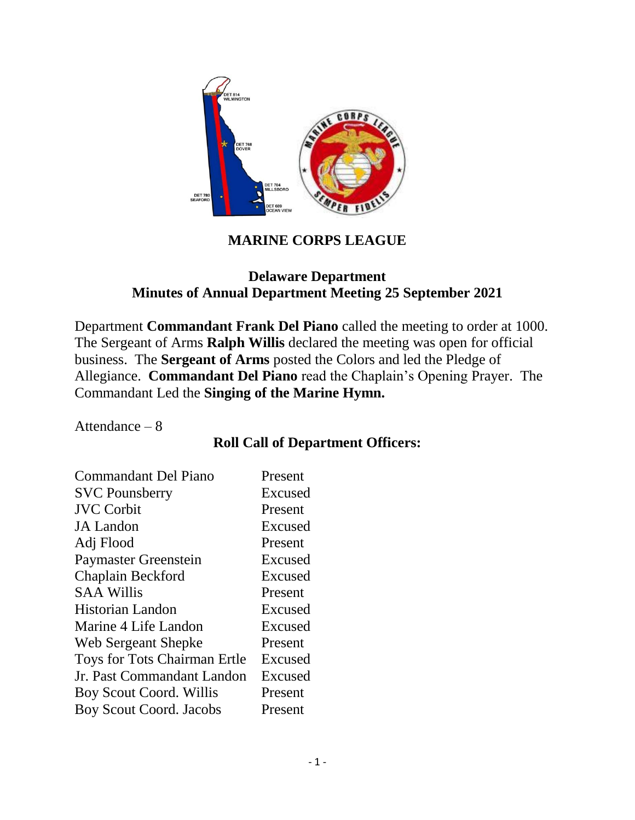

## **MARINE CORPS LEAGUE**

### **Delaware Department Minutes of Annual Department Meeting 25 September 2021**

Department **Commandant Frank Del Piano** called the meeting to order at 1000. The Sergeant of Arms **Ralph Willis** declared the meeting was open for official business. The **Sergeant of Arms** posted the Colors and led the Pledge of Allegiance. **Commandant Del Piano** read the Chaplain's Opening Prayer. The Commandant Led the **Singing of the Marine Hymn.**

Attendance – 8

## **Roll Call of Department Officers:**

| <b>Commandant Del Piano</b>    | Present |
|--------------------------------|---------|
| <b>SVC Pounsberry</b>          | Excused |
| <b>JVC</b> Corbit              | Present |
| <b>JA</b> Landon               | Excused |
| Adj Flood                      | Present |
| <b>Paymaster Greenstein</b>    | Excused |
| Chaplain Beckford              | Excused |
| <b>SAA Willis</b>              | Present |
| <b>Historian Landon</b>        | Excused |
| Marine 4 Life Landon           | Excused |
| Web Sergeant Shepke            | Present |
| Toys for Tots Chairman Ertle   | Excused |
| Jr. Past Commandant Landon     | Excused |
| Boy Scout Coord. Willis        | Present |
| <b>Boy Scout Coord. Jacobs</b> | Present |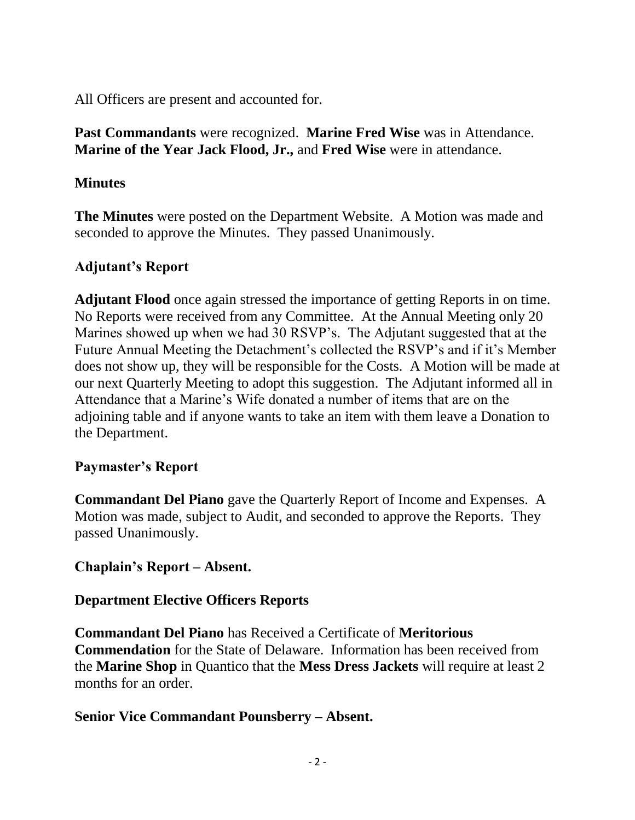All Officers are present and accounted for.

**Past Commandants** were recognized. **Marine Fred Wise** was in Attendance. **Marine of the Year Jack Flood, Jr.,** and **Fred Wise** were in attendance.

## **Minutes**

**The Minutes** were posted on the Department Website. A Motion was made and seconded to approve the Minutes. They passed Unanimously.

# **Adjutant's Report**

**Adjutant Flood** once again stressed the importance of getting Reports in on time. No Reports were received from any Committee. At the Annual Meeting only 20 Marines showed up when we had 30 RSVP's. The Adjutant suggested that at the Future Annual Meeting the Detachment's collected the RSVP's and if it's Member does not show up, they will be responsible for the Costs. A Motion will be made at our next Quarterly Meeting to adopt this suggestion. The Adjutant informed all in Attendance that a Marine's Wife donated a number of items that are on the adjoining table and if anyone wants to take an item with them leave a Donation to the Department.

## **Paymaster's Report**

**Commandant Del Piano** gave the Quarterly Report of Income and Expenses. A Motion was made, subject to Audit, and seconded to approve the Reports. They passed Unanimously.

# **Chaplain's Report – Absent.**

# **Department Elective Officers Reports**

**Commandant Del Piano** has Received a Certificate of **Meritorious Commendation** for the State of Delaware. Information has been received from the **Marine Shop** in Quantico that the **Mess Dress Jackets** will require at least 2 months for an order.

# **Senior Vice Commandant Pounsberry – Absent.**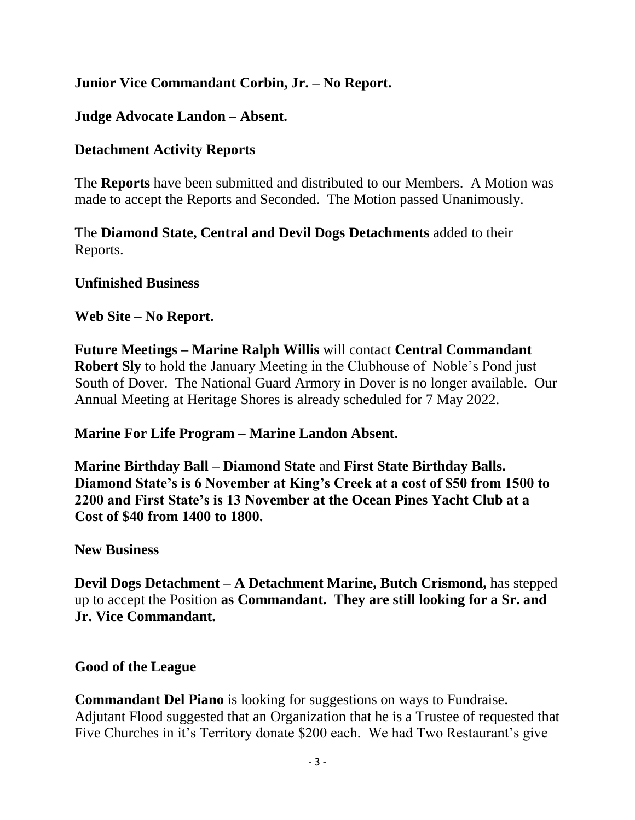## **Junior Vice Commandant Corbin, Jr. – No Report.**

### **Judge Advocate Landon – Absent.**

### **Detachment Activity Reports**

The **Reports** have been submitted and distributed to our Members. A Motion was made to accept the Reports and Seconded. The Motion passed Unanimously.

The **Diamond State, Central and Devil Dogs Detachments** added to their Reports.

#### **Unfinished Business**

#### **Web Site – No Report.**

**Future Meetings – Marine Ralph Willis** will contact **Central Commandant Robert Sly** to hold the January Meeting in the Clubhouse of Noble's Pond just South of Dover. The National Guard Armory in Dover is no longer available. Our Annual Meeting at Heritage Shores is already scheduled for 7 May 2022.

### **Marine For Life Program – Marine Landon Absent.**

**Marine Birthday Ball – Diamond State** and **First State Birthday Balls. Diamond State's is 6 November at King's Creek at a cost of \$50 from 1500 to 2200 and First State's is 13 November at the Ocean Pines Yacht Club at a Cost of \$40 from 1400 to 1800.**

#### **New Business**

**Devil Dogs Detachment – A Detachment Marine, Butch Crismond,** has stepped up to accept the Position **as Commandant. They are still looking for a Sr. and Jr. Vice Commandant.**

### **Good of the League**

**Commandant Del Piano** is looking for suggestions on ways to Fundraise. Adjutant Flood suggested that an Organization that he is a Trustee of requested that Five Churches in it's Territory donate \$200 each. We had Two Restaurant's give